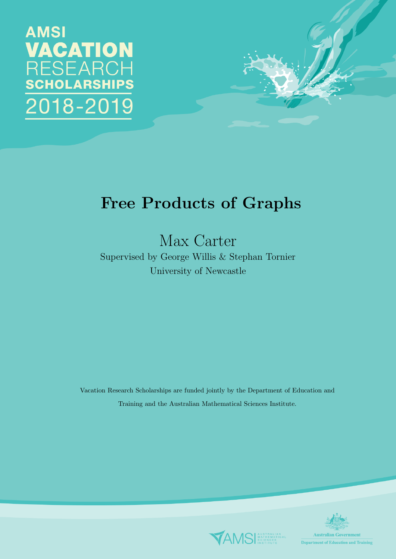# **AMSI VACATION RESEARCH SCHOLARSHIPS** 018-2019



Max Carter

Supervised by George Willis & Stephan Tornier University of Newcastle

Vacation Research Scholarships are funded jointly by the Department of Education and Training and the Australian Mathematical Sciences Institute.



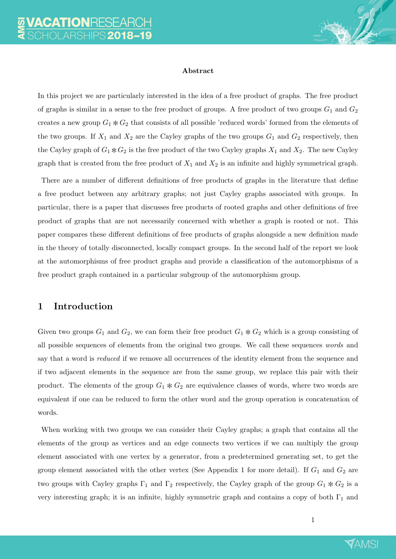

#### Abstract

In this project we are particularly interested in the idea of a free product of graphs. The free product of graphs is similar in a sense to the free product of groups. A free product of two groups  $G_1$  and  $G_2$ creates a new group  $G_1 * G_2$  that consists of all possible 'reduced words' formed from the elements of the two groups. If  $X_1$  and  $X_2$  are the Cayley graphs of the two groups  $G_1$  and  $G_2$  respectively, then the Cayley graph of  $G_1 * G_2$  is the free product of the two Cayley graphs  $X_1$  and  $X_2$ . The new Cayley graph that is created from the free product of  $X_1$  and  $X_2$  is an infinite and highly symmetrical graph.

There are a number of different definitions of free products of graphs in the literature that define a free product between any arbitrary graphs; not just Cayley graphs associated with groups. In particular, there is a paper that discusses free products of rooted graphs and other definitions of free product of graphs that are not necessarily concerned with whether a graph is rooted or not. This paper compares these different definitions of free products of graphs alongside a new definition made in the theory of totally disconnected, locally compact groups. In the second half of the report we look at the automorphisms of free product graphs and provide a classification of the automorphisms of a free product graph contained in a particular subgroup of the automorphism group.

# 1 Introduction

Given two groups  $G_1$  and  $G_2$ , we can form their free product  $G_1 * G_2$  which is a group consisting of all possible sequences of elements from the original two groups. We call these sequences words and say that a word is *reduced* if we remove all occurrences of the identity element from the sequence and if two adjacent elements in the sequence are from the same group, we replace this pair with their product. The elements of the group  $G_1 * G_2$  are equivalence classes of words, where two words are equivalent if one can be reduced to form the other word and the group operation is concatenation of words.

When working with two groups we can consider their Cayley graphs; a graph that contains all the elements of the group as vertices and an edge connects two vertices if we can multiply the group element associated with one vertex by a generator, from a predetermined generating set, to get the group element associated with the other vertex (See Appendix 1 for more detail). If  $G_1$  and  $G_2$  are two groups with Cayley graphs  $\Gamma_1$  and  $\Gamma_2$  respectively, the Cayley graph of the group  $G_1 * G_2$  is a very interesting graph; it is an infinite, highly symmetric graph and contains a copy of both  $\Gamma_1$  and

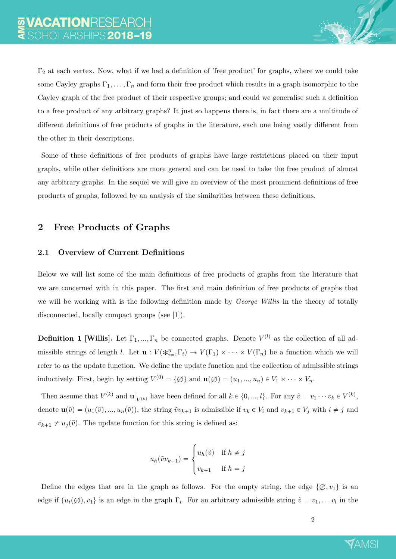$\Gamma_2$  at each vertex. Now, what if we had a definition of 'free product' for graphs, where we could take some Cayley graphs  $\Gamma_1, \ldots, \Gamma_n$  and form their free product which results in a graph isomorphic to the Cayley graph of the free product of their respective groups; and could we generalise such a definition to a free product of any arbitrary graphs? It just so happens there is, in fact there are a multitude of different definitions of free products of graphs in the literature, each one being vastly different from the other in their descriptions.

Some of these definitions of free products of graphs have large restrictions placed on their input graphs, while other definitions are more general and can be used to take the free product of almost any arbitrary graphs. In the sequel we will give an overview of the most prominent definitions of free products of graphs, followed by an analysis of the similarities between these definitions.

# 2 Free Products of Graphs

## 2.1 Overview of Current Definitions

Below we will list some of the main definitions of free products of graphs from the literature that we are concerned with in this paper. The first and main definition of free products of graphs that we will be working with is the following definition made by *George Willis* in the theory of totally disconnected, locally compact groups (see [1]).

**Definition 1 [Willis].** Let  $\Gamma_1, ..., \Gamma_n$  be connected graphs. Denote  $V^{(l)}$  as the collection of all admissible strings of length l. Let  $\mathbf{u}: V(\ast_{i=1}^n \Gamma_i) \to V(\Gamma_1) \times \cdots \times V(\Gamma_n)$  be a function which we will refer to as the update function. We define the update function and the collection of admissible strings inductively. First, begin by setting  $V^{(0)} = \{ \emptyset \}$  and  $\mathbf{u}(\emptyset) = (u_1, ..., u_n) \in V_1 \times \cdots \times V_n$ .

Then assume that  $V^{(k)}$  and **u**  $\big|_{V^{(k)}}$  have been defined for all  $k \in \{0, ..., l\}$ . For any  $\tilde{v} = v_1 \cdots v_k \in V^{(k)}$ , denote  $\mathbf{u}(\tilde{v}) = (u_1(\tilde{v}), ..., u_n(\tilde{v}))$ , the string  $\tilde{v}v_{k+1}$  is admissible if  $v_k \in V_i$  and  $v_{k+1} \in V_j$  with  $i \neq j$  and  $v_{k+1} \neq u_j(\tilde{v})$ . The update function for this string is defined as:

$$
u_h(\tilde{v}v_{k+1}) = \begin{cases} u_h(\tilde{v}) & \text{if } h \neq j \\ v_{k+1} & \text{if } h = j \end{cases}
$$

Define the edges that are in the graph as follows. For the empty string, the edge  $\{\emptyset, v_1\}$  is an edge if  $\{u_i(\emptyset), v_1\}$  is an edge in the graph  $\Gamma_i$ . For an arbitrary admissible string  $\tilde{v} = v_1, \ldots v_l$  in the

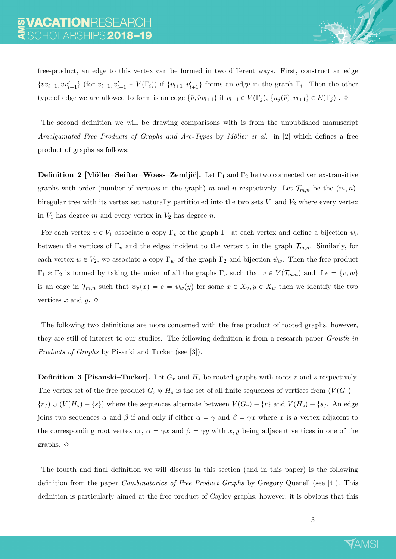free-product, an edge to this vertex can be formed in two different ways. First, construct an edge  $\{\tilde{v}v_{l+1}, \tilde{v}v'_{l+1}\}\$  (for  $v_{l+1}, v'_{l+1} \in V(\Gamma_i)$ ) if  $\{v_{l+1}, v'_{l+1}\}\$  forms an edge in the graph  $\Gamma_i$ . Then the other type of edge we are allowed to form is an edge  $\{\tilde{v}, \tilde{v}v_{l+1}\}$  if  $v_{l+1} \in V(\Gamma_j)$ ,  $\{u_j(\tilde{v}), v_{l+1}\} \in E(\Gamma_j)$  .  $\diamond$ 

The second definition we will be drawing comparisons with is from the unpublished manuscript Amalgamated Free Products of Graphs and Arc-Types by Möller et al. in  $[2]$  which defines a free product of graphs as follows:

**Definition 2 [Möller–Seifter–Woess–Zemljič].** Let  $\Gamma_1$  and  $\Gamma_2$  be two connected vertex-transitive graphs with order (number of vertices in the graph) m and n respectively. Let  $\mathcal{T}_{m,n}$  be the  $(m, n)$ biregular tree with its vertex set naturally partitioned into the two sets  $V_1$  and  $V_2$  where every vertex in  $V_1$  has degree m and every vertex in  $V_2$  has degree n.

For each vertex  $v \in V_1$  associate a copy  $\Gamma_v$  of the graph  $\Gamma_1$  at each vertex and define a bijection  $\psi_v$ between the vertices of  $\Gamma_v$  and the edges incident to the vertex v in the graph  $\mathcal{T}_{m,n}$ . Similarly, for each vertex  $w \in V_2$ , we associate a copy  $\Gamma_w$  of the graph  $\Gamma_2$  and bijection  $\psi_w$ . Then the free product  $\Gamma_1 * \Gamma_2$  is formed by taking the union of all the graphs  $\Gamma_v$  such that  $v \in V(\mathcal{T}_{m,n})$  and if  $e = \{v, w\}$ is an edge in  $\mathcal{T}_{m,n}$  such that  $\psi_v(x) = e = \psi_w(y)$  for some  $x \in X_v, y \in X_w$  then we identify the two vertices x and y.  $\diamond$ 

The following two definitions are more concerned with the free product of rooted graphs, however, they are still of interest to our studies. The following definition is from a research paper Growth in Products of Graphs by Pisanki and Tucker (see [3]).

**Definition 3 [Pisanski–Tucker].** Let  $G_r$  and  $H_s$  be rooted graphs with roots r and s respectively. The vertex set of the free product  $G_r * H_s$  is the set of all finite sequences of vertices from  $(V(G_r) \{r\}$   $\cup$   $(V(H_s) - \{s\})$  where the sequences alternate between  $V(G_r) - \{r\}$  and  $V(H_s) - \{s\}$ . An edge joins two sequences  $\alpha$  and  $\beta$  if and only if either  $\alpha = \gamma$  and  $\beta = \gamma x$  where x is a vertex adjacent to the corresponding root vertex or,  $\alpha = \gamma x$  and  $\beta = \gamma y$  with x, y being adjacent vertices in one of the graphs.  $\diamond$ 

The fourth and final definition we will discuss in this section (and in this paper) is the following definition from the paper Combinatorics of Free Product Graphs by Gregory Quenell (see [4]). This definition is particularly aimed at the free product of Cayley graphs, however, it is obvious that this

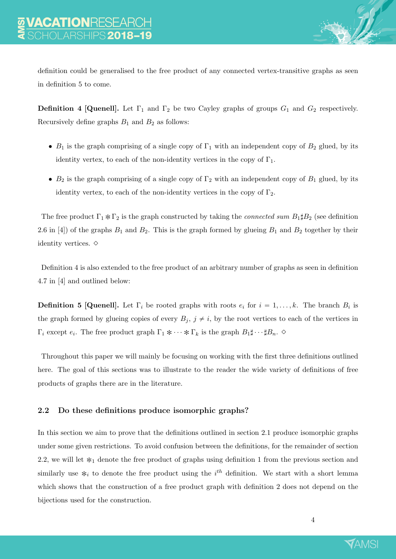

definition could be generalised to the free product of any connected vertex-transitive graphs as seen in definition 5 to come.

**Definition 4 [Quenell].** Let  $\Gamma_1$  and  $\Gamma_2$  be two Cayley graphs of groups  $G_1$  and  $G_2$  respectively. Recursively define graphs  $B_1$  and  $B_2$  as follows:

- $B_1$  is the graph comprising of a single copy of  $\Gamma_1$  with an independent copy of  $B_2$  glued, by its identity vertex, to each of the non-identity vertices in the copy of  $\Gamma_1$ .
- $B_2$  is the graph comprising of a single copy of  $\Gamma_2$  with an independent copy of  $B_1$  glued, by its identity vertex, to each of the non-identity vertices in the copy of  $\Gamma_2$ .

The free product  $\Gamma_1 * \Gamma_2$  is the graph constructed by taking the *connected sum B*<sub>1</sub>#B<sub>2</sub> (see definition 2.6 in [4]) of the graphs  $B_1$  and  $B_2$ . This is the graph formed by glueing  $B_1$  and  $B_2$  together by their identity vertices.  $\diamond$ 

Definition 4 is also extended to the free product of an arbitrary number of graphs as seen in definition 4.7 in [4] and outlined below:

**Definition 5 [Quenell].** Let  $\Gamma_i$  be rooted graphs with roots  $e_i$  for  $i = 1, ..., k$ . The branch  $B_i$  is the graph formed by glueing copies of every  $B_j$ ,  $j \neq i$ , by the root vertices to each of the vertices in  $\Gamma_i$  except  $e_i$ . The free product graph  $\Gamma_1 * \cdots * \Gamma_k$  is the graph  $B_1 \sharp \cdots \sharp B_n$ .  $\diamond$ 

Throughout this paper we will mainly be focusing on working with the first three definitions outlined here. The goal of this sections was to illustrate to the reader the wide variety of definitions of free products of graphs there are in the literature.

## 2.2 Do these definitions produce isomorphic graphs?

In this section we aim to prove that the definitions outlined in section 2.1 produce isomorphic graphs under some given restrictions. To avoid confusion between the definitions, for the remainder of section 2.2, we will let  $*_1$  denote the free product of graphs using definition 1 from the previous section and similarly use  $*_i$  to denote the free product using the  $i^{th}$  definition. We start with a short lemma which shows that the construction of a free product graph with definition 2 does not depend on the bijections used for the construction.

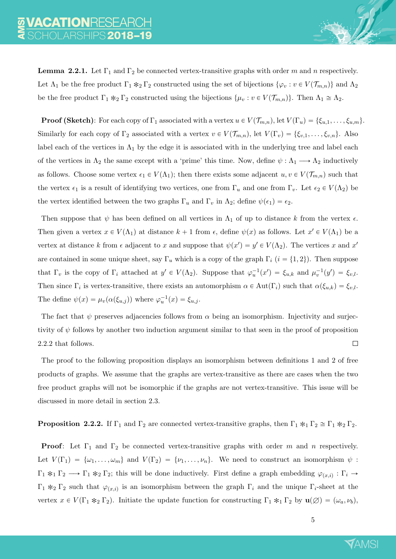**Lemma 2.2.1.** Let  $\Gamma_1$  and  $\Gamma_2$  be connected vertex-transitive graphs with order m and n respectively. Let  $\Lambda_1$  be the free product  $\Gamma_1 *_{2} \Gamma_2$  constructed using the set of bijections  $\{\varphi_v : v \in V(\mathcal{T}_{m,n})\}$  and  $\Lambda_2$ be the free product  $\Gamma_1 *_{2} \Gamma_2$  constructed using the bijections  $\{\mu_v : v \in V(\mathcal{T}_{m,n})\}$ . Then  $\Lambda_1 \cong \Lambda_2$ .

**Proof (Sketch):** For each copy of  $\Gamma_1$  associated with a vertex  $u \in V(\mathcal{T}_{m,n})$ , let  $V(\Gamma_u) = \{\xi_{u,1}, \ldots, \xi_{u,m}\}.$ Similarly for each copy of  $\Gamma_2$  associated with a vertex  $v \in V(\mathcal{T}_{m,n})$ , let  $V(\Gamma_v) = \{\xi_{v,1}, \ldots, \xi_{v,n}\}.$  Also label each of the vertices in  $\Lambda_1$  by the edge it is associated with in the underlying tree and label each of the vertices in  $\Lambda_2$  the same except with a 'prime' this time. Now, define  $\psi : \Lambda_1 \longrightarrow \Lambda_2$  inductively as follows. Choose some vertex  $\epsilon_1 \in V(\Lambda_1)$ ; then there exists some adjacent  $u, v \in V(\mathcal{T}_{m,n})$  such that the vertex  $\epsilon_1$  is a result of identifying two vertices, one from  $\Gamma_u$  and one from  $\Gamma_v$ . Let  $\epsilon_2 \in V(\Lambda_2)$  be the vertex identified between the two graphs  $\Gamma_u$  and  $\Gamma_v$  in  $\Lambda_2$ ; define  $\psi(\epsilon_1) = \epsilon_2$ .

Then suppose that  $\psi$  has been defined on all vertices in  $\Lambda_1$  of up to distance k from the vertex  $\epsilon$ . Then given a vertex  $x \in V(\Lambda_1)$  at distance  $k+1$  from  $\epsilon$ , define  $\psi(x)$  as follows. Let  $x' \in V(\Lambda_1)$  be a vertex at distance k from  $\epsilon$  adjacent to x and suppose that  $\psi(x') = y' \in V(\Lambda_2)$ . The vertices x and x' are contained in some unique sheet, say  $\Gamma_u$  which is a copy of the graph  $\Gamma_i$  (i = {1, 2}). Then suppose that  $\Gamma_v$  is the copy of  $\Gamma_i$  attached at  $y' \in V(\Lambda_2)$ . Suppose that  $\varphi_u^{-1}(x') = \xi_{u,k}$  and  $\mu_v^{-1}(y') = \xi_{v,l}$ . Then since  $\Gamma_i$  is vertex-transitive, there exists an automorphism  $\alpha \in \text{Aut}(\Gamma_i)$  such that  $\alpha(\xi_{u,k}) = \xi_{v,l}$ . The define  $\psi(x) = \mu_v(\alpha(\xi_{u,j}))$  where  $\varphi_u^{-1}(x) = \xi_{u,j}$ .

The fact that  $\psi$  preserves adjacencies follows from  $\alpha$  being an isomorphism. Injectivity and surjectivity of  $\psi$  follows by another two induction argument similar to that seen in the proof of proposition 2.2.2 that follows.  $\Box$ 

The proof to the following proposition displays an isomorphism between definitions 1 and 2 of free products of graphs. We assume that the graphs are vertex-transitive as there are cases when the two free product graphs will not be isomorphic if the graphs are not vertex-transitive. This issue will be discussed in more detail in section 2.3.

**Proposition 2.2.2.** If  $\Gamma_1$  and  $\Gamma_2$  are connected vertex-transitive graphs, then  $\Gamma_1 *_{1} \Gamma_2 \cong \Gamma_1 *_{2} \Gamma_2$ .

**Proof:** Let  $\Gamma_1$  and  $\Gamma_2$  be connected vertex-transitive graphs with order m and n respectively. Let  $V(\Gamma_1) = {\omega_1, \ldots, \omega_m}$  and  $V(\Gamma_2) = {\nu_1, \ldots, \nu_n}$ . We need to construct an isomorphism  $\psi$ :  $\Gamma_1 *_{1} \Gamma_2 \longrightarrow \Gamma_1 *_{2} \Gamma_2$ ; this will be done inductively. First define a graph embedding  $\varphi_{(x,i)} : \Gamma_i \rightarrow$  $\Gamma_1 *_{2} \Gamma_2$  such that  $\varphi_{(x,i)}$  is an isomorphism between the graph  $\Gamma_i$  and the unique  $\Gamma_i$ -sheet at the vertex  $x \in V(\Gamma_1 *_{2} \Gamma_2)$ . Initiate the update function for constructing  $\Gamma_1 *_{1} \Gamma_2$  by  $\mathbf{u}(\emptyset) = (\omega_a, \nu_b)$ ,

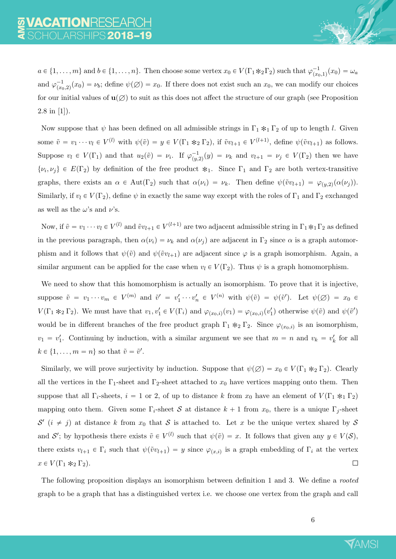$a \in \{1, \ldots, m\}$  and  $b \in \{1, \ldots, n\}$ . Then choose some vertex  $x_0 \in V(\Gamma_1 \ast_2 \Gamma_2)$  such that  $\varphi_{\alpha}^{-1}$  $\omega^{-1}_{(x_0,1)}(x_0)=\omega_a$ and  $\varphi_{\alpha}^{-1}$  $\psi^{-1}_{(x_0, 2)}(x_0) = \nu_b$ ; define  $\psi(\emptyset) = x_0$ . If there does not exist such an  $x_0$ , we can modify our choices for our initial values of  $\mathbf{u}(\varnothing)$  to suit as this does not affect the structure of our graph (see Proposition 2.8 in [1]).

Now suppose that  $\psi$  has been defined on all admissible strings in  $\Gamma_1 *_{1} \Gamma_2$  of up to length l. Given some  $\tilde{v} = v_1 \cdots v_l \in V^{(l)}$  with  $\psi(\tilde{v}) = y \in V(\Gamma_1 \ast_2 \Gamma_2)$ , if  $\tilde{v}v_{l+1} \in V^{(l+1)}$ , define  $\psi(\tilde{v}v_{l+1})$  as follows. Suppose  $v_l \in V(\Gamma_1)$  and that  $u_2(\tilde{v}) = \nu_i$ . If  $\varphi_{(u)}^{-1}$  $p_{(y,2)}^{-1}(y) = \nu_k$  and  $v_{l+1} = \nu_j \in V(\Gamma_2)$  then we have  $\{\nu_i, \nu_j\} \in E(\Gamma_2)$  by definition of the free product  $*_1$ . Since  $\Gamma_1$  and  $\Gamma_2$  are both vertex-transitive graphs, there exists an  $\alpha \in Aut(\Gamma_2)$  such that  $\alpha(\nu_i) = \nu_k$ . Then define  $\psi(\tilde{v}v_{l+1}) = \varphi_{(y,2)}(\alpha(\nu_j)).$ Similarly, if  $v_l \in V(\Gamma_2)$ , define  $\psi$  in exactly the same way except with the roles of  $\Gamma_1$  and  $\Gamma_2$  exchanged as well as the  $\omega$ 's and  $\nu$ 's.

Now, if  $\tilde{v} = v_1 \cdots v_l \in V^{(l)}$  and  $\tilde{v}v_{l+1} \in V^{(l+1)}$  are two adjacent admissible string in  $\Gamma_1 *_{1} \Gamma_2$  as defined in the previous paragraph, then  $\alpha(\nu_i) = \nu_k$  and  $\alpha(\nu_j)$  are adjacent in  $\Gamma_2$  since  $\alpha$  is a graph automorphism and it follows that  $\psi(\tilde{v})$  and  $\psi(\tilde{v}v_{l+1})$  are adjacent since  $\varphi$  is a graph isomorphism. Again, a similar argument can be applied for the case when  $v_l \in V(\Gamma_2)$ . Thus  $\psi$  is a graph homomorphism.

We need to show that this homomorphism is actually an isomorphism. To prove that it is injective, suppose  $\tilde{v} = v_1 \cdots v_m \in V^{(m)}$  and  $\tilde{v}' = v'_1 \cdots v'_n \in V^{(n)}$  with  $\psi(\tilde{v}) = \psi(\tilde{v}')$ . Let  $\psi(\emptyset) = x_0 \in$  $V(\Gamma_1 *_{2} \Gamma_2)$ . We must have that  $v_1, v_1' \in V(\Gamma_i)$  and  $\varphi_{(x_0,i)}(v_1) = \varphi_{(x_0,i)}(v_1')$  otherwise  $\psi(\tilde{v})$  and  $\psi(\tilde{v}')$ would be in different branches of the free product graph  $\Gamma_1 *_{2} \Gamma_2$ . Since  $\varphi_{(x_0,i)}$  is an isomorphism,  $v_1 = v'_1$ . Continuing by induction, with a similar argument we see that  $m = n$  and  $v_k = v'_k$  for all  $k \in \{1, \ldots, m = n\}$  so that  $\tilde{v} = \tilde{v}'$ .

Similarly, we will prove surjectivity by induction. Suppose that  $\psi(\emptyset) = x_0 \in V(\Gamma_1 *_{2} \Gamma_2)$ . Clearly all the vertices in the  $\Gamma_1$ -sheet and  $\Gamma_2$ -sheet attached to  $x_0$  have vertices mapping onto them. Then suppose that all  $\Gamma_i$ -sheets,  $i = 1$  or 2, of up to distance k from  $x_0$  have an element of  $V(\Gamma_1 *_{1} \Gamma_2)$ mapping onto them. Given some  $\Gamma_i$ -sheet S at distance  $k + 1$  from  $x_0$ , there is a unique  $\Gamma_j$ -sheet  $\mathcal{S}'$   $(i \neq j)$  at distance k from  $x_0$  that S is attached to. Let x be the unique vertex shared by S and S'; by hypothesis there exists  $\tilde{v} \in V^{(l)}$  such that  $\psi(\tilde{v}) = x$ . It follows that given any  $y \in V(S)$ , there exists  $v_{l+1} \in \Gamma_i$  such that  $\psi(\tilde{v}v_{l+1}) = y$  since  $\varphi_{(x,i)}$  is a graph embedding of  $\Gamma_i$  at the vertex  $x \in V(\Gamma_1 *_{2} \Gamma_2).$  $\Box$ 

The following proposition displays an isomorphism between definition 1 and 3. We define a *rooted* graph to be a graph that has a distinguished vertex i.e. we choose one vertex from the graph and call

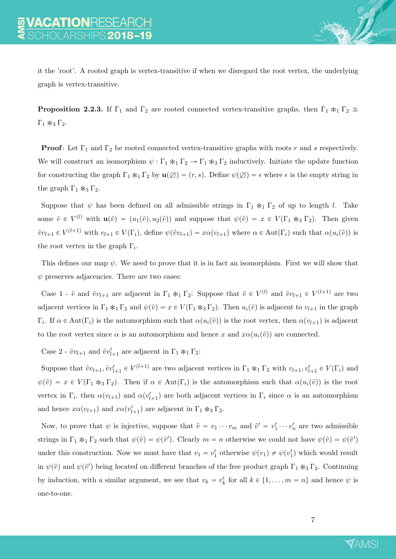

it the 'root'. A rooted graph is vertex-transitive if when we disregard the root vertex, the underlying graph is vertex-transitive.

**Proposition 2.2.3.** If  $\Gamma_1$  and  $\Gamma_2$  are rooted connected vertex-transitive graphs, then  $\Gamma_1 *_{1} \Gamma_2 \cong$  $\Gamma_1 *_{3} \Gamma_2$ .

**Proof:** Let  $\Gamma_1$  and  $\Gamma_2$  be rooted connected vertex-transitive graphs with roots r and s respectively. We will construct an isomorphism  $\psi : \Gamma_1 *_{1} \Gamma_2 \to \Gamma_1 *_{3} \Gamma_2$  inductively. Initiate the update function for constructing the graph  $\Gamma_1 *_{1} \Gamma_2$  by  $\mathbf{u}(\varnothing) = (r, s)$ . Define  $\psi(\varnothing) = \epsilon$  where  $\epsilon$  is the empty string in the graph  $\Gamma_1 *_{3} \Gamma_2$ .

Suppose that  $\psi$  has been defined on all admissible strings in  $\Gamma_1 *_{1} \Gamma_2$  of up to length l. Take some  $\tilde{v} \in V^{(l)}$  with  $\mathbf{u}(\tilde{v}) = (u_1(\tilde{v}), u_2(\tilde{v}))$  and suppose that  $\psi(\tilde{v}) = x \in V(\Gamma_1 *_{3} \Gamma_2)$ . Then given  $\tilde{v}v_{l+1} \in V^{(l+1)}$  with  $v_{l+1} \in V(\Gamma_i)$ , define  $\psi(\tilde{v}v_{l+1}) = x\alpha(v_{l+1})$  where  $\alpha \in \text{Aut}(\Gamma_i)$  such that  $\alpha(u_i(\tilde{v}))$  is the root vertex in the graph  $\Gamma_i$ .

This defines our map  $\psi$ . We need to prove that it is in fact an isomorphism. First we will show that  $\psi$  preserves adjacencies. There are two cases:

Case 1 -  $\tilde{v}$  and  $\tilde{v}v_{l+1}$  are adjacent in  $\Gamma_1 *_{1} \Gamma_2$ : Suppose that  $\tilde{v} \in V^{(l)}$  and  $\tilde{v}v_{l+1} \in V^{(l+1)}$  are two adjacent vertices in  $\Gamma_1 *_{1} \Gamma_2$  and  $\psi(\tilde{v}) = x \in V(\Gamma_1 *_{3} \Gamma_2)$ . Then  $u_i(\tilde{v})$  is adjacent to  $v_{l+1}$  in the graph  $\Gamma_i$ . If  $\alpha \in \text{Aut}(\Gamma_i)$  is the automorphism such that  $\alpha(u_i(\tilde{v}))$  is the root vertex, then  $\alpha(v_{l+1})$  is adjacent to the root vertex since  $\alpha$  is an automorphism and hence x and  $x\alpha(u_i(\tilde{v}))$  are connected.

Case 2 -  $\tilde{v}v_{l+1}$  and  $\tilde{v}v_{l+1}'$  are adjacent in  $\Gamma_1 *_{1} \Gamma_2$ :

Suppose that  $\tilde{v}v_{l+1}, \tilde{v}v'_{l+1} \in V^{(l+1)}$  are two adjacent vertices in  $\Gamma_1 *_{1} \Gamma_2$  with  $v_{l+1}, v'_{l+1} \in V(\Gamma_i)$  and  $\psi(\tilde{v}) = x \in V(\Gamma_1 *_{3} \Gamma_2)$ . Then if  $\alpha \in Aut(\Gamma_i)$  is the automorphism such that  $\alpha(u_i(\tilde{v}))$  is the root vertex in  $\Gamma_i$ , then  $\alpha(v_{l+1})$  and  $\alpha(v'_{l+1})$  are both adjacent vertices in  $\Gamma_i$  since  $\alpha$  is an automorphism and hence  $x\alpha(v_{l+1})$  and  $x\alpha(v_{l+1}')$  are adjacent in  $\Gamma_1 *_{3} \Gamma_2$ .

Now, to prove that  $\psi$  is injective, suppose that  $\tilde{v} = v_1 \cdots v_m$  and  $\tilde{v}' = v'_1 \cdots v'_n$  are two admissible strings in  $\Gamma_1 *_{1} \Gamma_2$  such that  $\psi(\tilde{v}) = \psi(\tilde{v}')$ . Clearly  $m = n$  otherwise we could not have  $\psi(\tilde{v}) = \psi(\tilde{v}')$ under this construction. Now we must have that  $v_1 = v'_1$  otherwise  $\psi(v_1) \neq \psi(v'_1)$  which would result in  $\psi(\tilde{v})$  and  $\psi(\tilde{v}')$  being located on different branches of the free product graph  $\Gamma_1 *_{3} \Gamma_2$ . Continuing by induction, with a similar argument, we see that  $v_k = v'_k$  for all  $k \in \{1, ..., m = n\}$  and hence  $\psi$  is one-to-one.

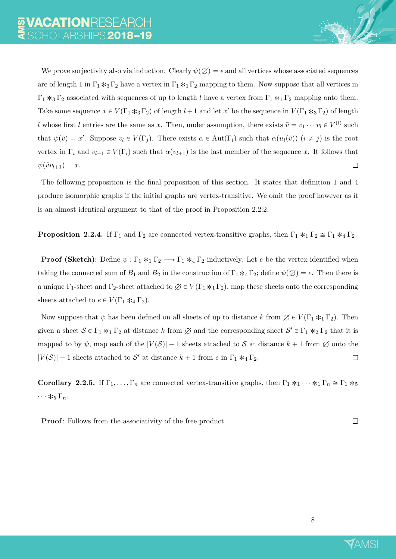We prove surjectivity also via induction. Clearly  $\psi(\emptyset) = \epsilon$  and all vertices whose associated sequences are of length 1 in  $\Gamma_1$  \*3 $\Gamma_2$  have a vertex in  $\Gamma_1$  \*1 $\Gamma_2$  mapping to them. Now suppose that all vertices in  $\Gamma_1 *_{3} \Gamma_2$  associated with sequences of up to length l have a vertex from  $\Gamma_1 *_{1} \Gamma_2$  mapping onto them. Take some sequence  $x \in V(\Gamma_1 *_{3} \Gamma_2)$  of length  $l+1$  and let  $x'$  be the sequence in  $V(\Gamma_1 *_{3} \Gamma_2)$  of length l whose first l entries are the same as x. Then, under assumption, there exists  $\tilde{v} = v_1 \cdots v_l \in V^{(l)}$  such that  $\psi(\tilde{v}) = x'$ . Suppose  $v_l \in V(\Gamma_j)$ . There exists  $\alpha \in Aut(\Gamma_i)$  such that  $\alpha(u_i(\tilde{v}))$   $(i \neq j)$  is the root vertex in  $\Gamma_i$  and  $v_{l+1} \in V(\Gamma_i)$  such that  $\alpha(v_{l+1})$  is the last member of the sequence x. It follows that  $\psi(\tilde{v}v_{l+1}) = x.$  $\Box$ 

The following proposition is the final proposition of this section. It states that definition 1 and 4 produce isomorphic graphs if the initial graphs are vertex-transitive. We omit the proof however as it is an almost identical argument to that of the proof in Proposition 2.2.2.

**Proposition 2.2.4.** If  $\Gamma_1$  and  $\Gamma_2$  are connected vertex-transitive graphs, then  $\Gamma_1 *_{1} \Gamma_2 \cong \Gamma_1 *_{4} \Gamma_2$ .

**Proof (Sketch)**: Define  $\psi : \Gamma_1 *_{1} \Gamma_2 \longrightarrow \Gamma_1 *_{4} \Gamma_2$  inductively. Let e be the vertex identified when taking the connected sum of  $B_1$  and  $B_2$  in the construction of  $\Gamma_1*_4\Gamma_2$ ; define  $\psi(\emptyset) = e$ . Then there is a unique  $\Gamma_1$ -sheet and  $\Gamma_2$ -sheet attached to  $\emptyset \in V(\Gamma_1 *_{1} \Gamma_2)$ , map these sheets onto the corresponding sheets attached to  $e \in V(\Gamma_1 *_{4} \Gamma_2)$ .

Now suppose that  $\psi$  has been defined on all sheets of up to distance k from  $\emptyset \in V(\Gamma_1 *_{1} \Gamma_2)$ . Then given a sheet  $S \in \Gamma_1 *_{1} \Gamma_2$  at distance k from  $\emptyset$  and the corresponding sheet  $S' \in \Gamma_1 *_{2} \Gamma_2$  that it is mapped to by  $\psi$ , map each of the  $|V(S)| - 1$  sheets attached to S at distance  $k + 1$  from  $\emptyset$  onto the  $|V(S)| - 1$  sheets attached to S' at distance  $k + 1$  from e in  $\Gamma_1 *_{4} \Gamma_2$ .  $\Box$ 

Corollary 2.2.5. If  $\Gamma_1, \ldots, \Gamma_n$  are connected vertex-transitive graphs, then  $\Gamma_1 *_1 \cdots *_1 \Gamma_n \cong \Gamma_1 *_5$  $\cdots *_{5} \Gamma_{n}$ .

**Proof:** Follows from the associativity of the free product.

 $\Box$ 

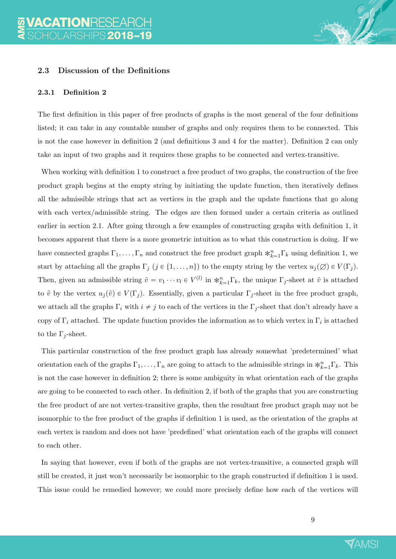### 2.3 Discussion of the Definitions

#### 2.3.1 Definition 2

The first definition in this paper of free products of graphs is the most general of the four definitions listed; it can take in any countable number of graphs and only requires them to be connected. This is not the case however in definition 2 (and definitions 3 and 4 for the matter). Definition 2 can only take an input of two graphs and it requires these graphs to be connected and vertex-transitive.

When working with definition 1 to construct a free product of two graphs, the construction of the free product graph begins at the empty string by initiating the update function, then iteratively defines all the admissible strings that act as vertices in the graph and the update functions that go along with each vertex/admissible string. The edges are then formed under a certain criteria as outlined earlier in section 2.1. After going through a few examples of constructing graphs with definition 1, it becomes apparent that there is a more geometric intuition as to what this construction is doing. If we have connected graphs  $\Gamma_1, \ldots, \Gamma_n$  and construct the free product graph  $*_{k=1}^n \Gamma_k$  using definition 1, we start by attaching all the graphs  $\Gamma_j$   $(j \in \{1, ..., n\})$  to the empty string by the vertex  $u_j(\emptyset) \in V(\Gamma_j)$ . Then, given an admissible string  $\tilde{v} = v_1 \cdots v_l \in V^{(l)}$  in  $*_{k=1}^n \Gamma_k$ , the unique  $\Gamma_j$ -sheet at  $\tilde{v}$  is attached to  $\tilde{v}$  by the vertex  $u_j(\tilde{v}) \in V(\Gamma_j)$ . Essentially, given a particular  $\Gamma_j$ -sheet in the free product graph, we attach all the graphs  $\Gamma_i$  with  $i \neq j$  to each of the vertices in the  $\Gamma_j$ -sheet that don't already have a copy of  $\Gamma_i$  attached. The update function provides the information as to which vertex in  $\Gamma_i$  is attached to the  $\Gamma_i$ -sheet.

This particular construction of the free product graph has already somewhat 'predetermined' what orientation each of the graphs  $\Gamma_1, \ldots, \Gamma_n$  are going to attach to the admissible strings in  $*_{k=1}^n \Gamma_k$ . This is not the case however in definition 2; there is some ambiguity in what orientation each of the graphs are going to be connected to each other. In definition 2, if both of the graphs that you are constructing the free product of are not vertex-transitive graphs, then the resultant free product graph may not be isomorphic to the free product of the graphs if definition 1 is used, as the orientation of the graphs at each vertex is random and does not have 'predefined' what orientation each of the graphs will connect to each other.

In saying that however, even if both of the graphs are not vertex-transitive, a connected graph will still be created, it just won't necessarily be isomorphic to the graph constructed if definition 1 is used. This issue could be remedied however; we could more precisely define how each of the vertices will

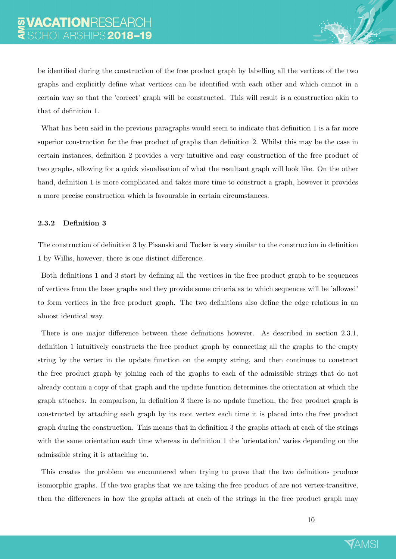be identified during the construction of the free product graph by labelling all the vertices of the two graphs and explicitly define what vertices can be identified with each other and which cannot in a certain way so that the 'correct' graph will be constructed. This will result is a construction akin to that of definition 1.

What has been said in the previous paragraphs would seem to indicate that definition 1 is a far more superior construction for the free product of graphs than definition 2. Whilst this may be the case in certain instances, definition 2 provides a very intuitive and easy construction of the free product of two graphs, allowing for a quick visualisation of what the resultant graph will look like. On the other hand, definition 1 is more complicated and takes more time to construct a graph, however it provides a more precise construction which is favourable in certain circumstances.

#### 2.3.2 Definition 3

The construction of definition 3 by Pisanski and Tucker is very similar to the construction in definition 1 by Willis, however, there is one distinct difference.

Both definitions 1 and 3 start by defining all the vertices in the free product graph to be sequences of vertices from the base graphs and they provide some criteria as to which sequences will be 'allowed' to form vertices in the free product graph. The two definitions also define the edge relations in an almost identical way.

There is one major difference between these definitions however. As described in section 2.3.1, definition 1 intuitively constructs the free product graph by connecting all the graphs to the empty string by the vertex in the update function on the empty string, and then continues to construct the free product graph by joining each of the graphs to each of the admissible strings that do not already contain a copy of that graph and the update function determines the orientation at which the graph attaches. In comparison, in definition 3 there is no update function, the free product graph is constructed by attaching each graph by its root vertex each time it is placed into the free product graph during the construction. This means that in definition 3 the graphs attach at each of the strings with the same orientation each time whereas in definition 1 the 'orientation' varies depending on the admissible string it is attaching to.

This creates the problem we encountered when trying to prove that the two definitions produce isomorphic graphs. If the two graphs that we are taking the free product of are not vertex-transitive, then the differences in how the graphs attach at each of the strings in the free product graph may

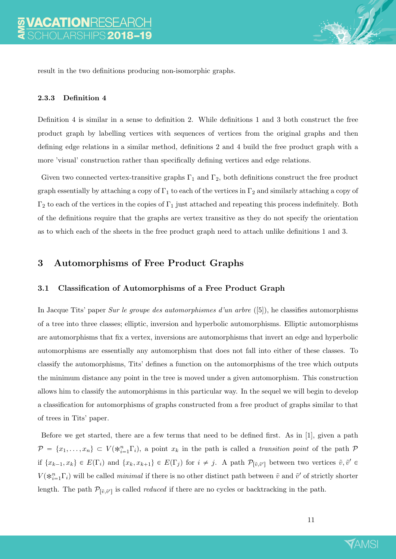

result in the two definitions producing non-isomorphic graphs.

#### 2.3.3 Definition 4

Definition 4 is similar in a sense to definition 2. While definitions 1 and 3 both construct the free product graph by labelling vertices with sequences of vertices from the original graphs and then defining edge relations in a similar method, definitions 2 and 4 build the free product graph with a more 'visual' construction rather than specifically defining vertices and edge relations.

Given two connected vertex-transitive graphs  $\Gamma_1$  and  $\Gamma_2$ , both definitions construct the free product graph essentially by attaching a copy of  $\Gamma_1$  to each of the vertices in  $\Gamma_2$  and similarly attaching a copy of  $\Gamma_2$  to each of the vertices in the copies of  $\Gamma_1$  just attached and repeating this process indefinitely. Both of the definitions require that the graphs are vertex transitive as they do not specify the orientation as to which each of the sheets in the free product graph need to attach unlike definitions 1 and 3.

## 3 Automorphisms of Free Product Graphs

#### 3.1 Classification of Automorphisms of a Free Product Graph

In Jacque Tits' paper Sur le groupe des automorphismes d'un arbre ([5]), he classifies automorphisms of a tree into three classes; elliptic, inversion and hyperbolic automorphisms. Elliptic automorphisms are automorphisms that fix a vertex, inversions are automorphisms that invert an edge and hyperbolic automorphisms are essentially any automorphism that does not fall into either of these classes. To classify the automorphisms, Tits' defines a function on the automorphisms of the tree which outputs the minimum distance any point in the tree is moved under a given automorphism. This construction allows him to classify the automorphisms in this particular way. In the sequel we will begin to develop a classification for automorphisms of graphs constructed from a free product of graphs similar to that of trees in Tits' paper.

Before we get started, there are a few terms that need to be defined first. As in [1], given a path  $\mathcal{P} = \{x_1, \ldots, x_n\} \subset V(\ast_{i=1}^n \Gamma_i)$ , a point  $x_k$  in the path is called a transition point of the path  $\mathcal{P}$ if  $\{x_{k-1}, x_k\} \in E(\Gamma_i)$  and  $\{x_k, x_{k+1}\} \in E(\Gamma_j)$  for  $i \neq j$ . A path  $\mathcal{P}_{[\tilde{v}, \tilde{v}']}$  between two vertices  $\tilde{v}, \tilde{v}' \in$  $V(\mathcal{K}_{i=1}^n \Gamma_i)$  will be called *minimal* if there is no other distinct path between  $\tilde{v}$  and  $\tilde{v}'$  of strictly shorter length. The path  $\mathcal{P}_{[\tilde{v}, \tilde{v}']}$  is called *reduced* if there are no cycles or backtracking in the path.

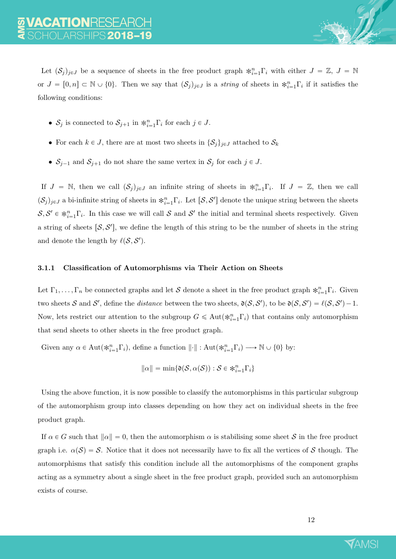Let  $(S_j)_{j\in J}$  be a sequence of sheets in the free product graph  $*_{i=1}^n\Gamma_i$  with either  $J = \mathbb{Z}, J = \mathbb{N}$ or  $J = [0, n] \subset \mathbb{N} \cup \{0\}$ . Then we say that  $(\mathcal{S}_j)_{j \in J}$  is a string of sheets in  $\ast_{i=1}^n \Gamma_i$  if it satisfies the following conditions:

- $S_j$  is connected to  $S_{j+1}$  in  $\ast_{i=1}^n \Gamma_i$  for each  $j \in J$ .
- For each  $k \in J$ , there are at most two sheets in  $\{\mathcal{S}_j\}_{j\in J}$  attached to  $\mathcal{S}_k$
- $S_{j-1}$  and  $S_{j+1}$  do not share the same vertex in  $S_j$  for each  $j \in J$ .

If  $J = \mathbb{N}$ , then we call  $(\mathcal{S}_j)_{j \in J}$  an infinite string of sheets in  $*_{i=1}^n \Gamma_i$ . If  $J = \mathbb{Z}$ , then we call  $(\mathcal{S}_j)_{j\in J}$  a bi-infinite string of sheets in  $*_{i=1}^n\Gamma_i$ . Let  $[\mathcal{S}, \mathcal{S}']$  denote the unique string between the sheets  $S, S' \in *_{i=1}^n \Gamma_i$ . In this case we will call S and S' the initial and terminal sheets respectively. Given a string of sheets  $[\mathcal{S}, \mathcal{S}']$ , we define the length of this string to be the number of sheets in the string and denote the length by  $\ell(\mathcal{S}, \mathcal{S}')$ .

#### 3.1.1 Classification of Automorphisms via Their Action on Sheets

Let  $\Gamma_1, \ldots, \Gamma_n$  be connected graphs and let S denote a sheet in the free product graph  $\ast_{i=1}^n \Gamma_i$ . Given two sheets S and S', define the *distance* between the two sheets,  $\mathfrak{d}(\mathcal{S}, \mathcal{S}')$ , to be  $\mathfrak{d}(\mathcal{S}, \mathcal{S}') = \ell(\mathcal{S}, \mathcal{S}') - 1$ . Now, lets restrict our attention to the subgroup  $G \leq \text{Aut}(\ast_{i=1}^n \Gamma_i)$  that contains only automorphism that send sheets to other sheets in the free product graph.

Given any  $\alpha \in \text{Aut}(\mathcal{K}_{i=1}^n\Gamma_i)$ , define a function  $\lVert \cdot \rVert : \text{Aut}(\mathcal{K}_{i=1}^n\Gamma_i) \longrightarrow \mathbb{N} \cup \{0\}$  by:

$$
\|\alpha\|=\min\{\mathfrak{d}(\mathcal{S},\alpha(\mathcal{S})): \mathcal{S}\in \mathbin{\textbf{R}}_{i=1}^n\Gamma_i\}
$$

Using the above function, it is now possible to classify the automorphisms in this particular subgroup of the automorphism group into classes depending on how they act on individual sheets in the free product graph.

If  $\alpha \in G$  such that  $\|\alpha\| = 0$ , then the automorphism  $\alpha$  is stabilising some sheet S in the free product graph i.e.  $\alpha(S) = S$ . Notice that it does not necessarily have to fix all the vertices of S though. The automorphisms that satisfy this condition include all the automorphisms of the component graphs acting as a symmetry about a single sheet in the free product graph, provided such an automorphism exists of course.

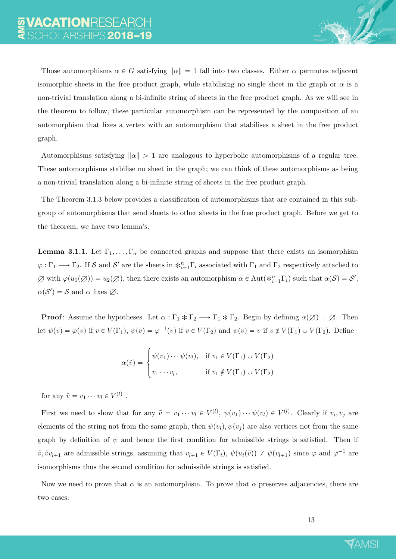Those automorphisms  $\alpha \in G$  satisfying  $\|\alpha\| = 1$  fall into two classes. Either  $\alpha$  permutes adjacent isomorphic sheets in the free product graph, while stabilising no single sheet in the graph or  $\alpha$  is a non-trivial translation along a bi-infinite string of sheets in the free product graph. As we will see in the theorem to follow, these particular automorphism can be represented by the composition of an automorphism that fixes a vertex with an automorphism that stabilises a sheet in the free product graph.

Automorphisms satisfying  $\|\alpha\| > 1$  are analogous to hyperbolic automorphisms of a regular tree. These automorphisms stabilise no sheet in the graph; we can think of these automorphisms as being a non-trivial translation along a bi-infinite string of sheets in the free product graph.

The Theorem 3.1.3 below provides a classification of automorphisms that are contained in this subgroup of automorphisms that send sheets to other sheets in the free product graph. Before we get to the theorem, we have two lemma's.

**Lemma 3.1.1.** Let  $\Gamma_1, \ldots, \Gamma_n$  be connected graphs and suppose that there exists an isomorphism  $\varphi:\Gamma_1\longrightarrow \Gamma_2$ . If S and S' are the sheets in  $*_{i=1}^n\Gamma_i$  associated with  $\Gamma_1$  and  $\Gamma_2$  respectively attached to  $\emptyset$  with  $\varphi(u_1(\emptyset)) = u_2(\emptyset)$ , then there exists an automorphism  $\alpha \in \text{Aut}(\ast_{i=1}^n\Gamma_i)$  such that  $\alpha(\mathcal{S}) = \mathcal{S}'$ ,  $\alpha(\mathcal{S}') = \mathcal{S}$  and  $\alpha$  fixes  $\emptyset$ .

**Proof:** Assume the hypotheses. Let  $\alpha : \Gamma_1 * \Gamma_2 \longrightarrow \Gamma_1 * \Gamma_2$ . Begin by defining  $\alpha(\emptyset) = \emptyset$ . Then let  $\psi(v) = \varphi(v)$  if  $v \in V(\Gamma_1)$ ,  $\psi(v) = \varphi^{-1}(v)$  if  $v \in V(\Gamma_2)$  and  $\psi(v) = v$  if  $v \notin V(\Gamma_1) \cup V(\Gamma_2)$ . Define

$$
\alpha(\tilde{v}) = \begin{cases} \psi(v_1) \cdots \psi(v_l), & \text{if } v_1 \in V(\Gamma_1) \cup V(\Gamma_2) \\ v_1 \cdots v_l, & \text{if } v_1 \notin V(\Gamma_1) \cup V(\Gamma_2) \end{cases}
$$

for any  $\tilde{v} = v_1 \cdots v_l \in V^{(l)}$ .

First we need to show that for any  $\tilde{v} = v_1 \cdots v_l \in V^{(l)}$ ,  $\psi(v_1) \cdots \psi(v_l) \in V^{(l)}$ . Clearly if  $v_i, v_j$  are elements of the string not from the same graph, then  $\psi(v_i), \psi(v_j)$  are also vertices not from the same graph by definition of  $\psi$  and hence the first condition for admissible strings is satisfied. Then if  $\tilde{v}, \tilde{v}v_{l+1}$  are admissible strings, assuming that  $v_{l+1} \in V(\Gamma_i)$ ,  $\psi(u_i(\tilde{v})) \neq \psi(v_{l+1})$  since  $\varphi$  and  $\varphi^{-1}$  are isomorphisms thus the second condition for admissible strings is satisfied.

Now we need to prove that  $\alpha$  is an automorphism. To prove that  $\alpha$  preserves adjacencies, there are two cases:

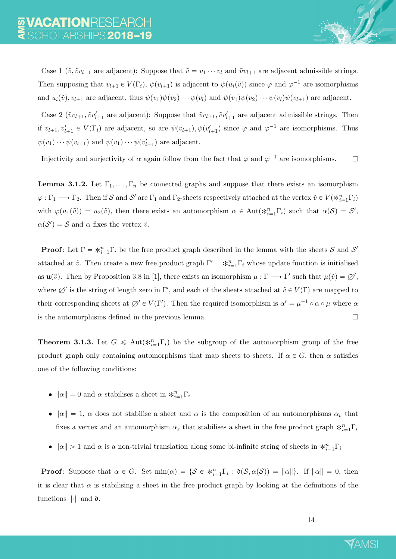Case 1 ( $\tilde{v}, \tilde{v}v_{l+1}$  are adjacent): Suppose that  $\tilde{v} = v_1 \cdots v_l$  and  $\tilde{v}v_{l+1}$  are adjacent admissible strings. Then supposing that  $v_{l+1} \in V(\Gamma_i)$ ,  $\psi(v_{l+1})$  is adjacent to  $\psi(u_i(\tilde{v}))$  since  $\varphi$  and  $\varphi^{-1}$  are isomorphisms and  $u_i(\tilde{v})$ ,  $v_{l+1}$  are adjacent, thus  $\psi(v_1)\psi(v_2)\cdots\psi(v_l)$  and  $\psi(v_1)\psi(v_2)\cdots\psi(v_l)\psi(v_{l+1})$  are adjacent.

Case 2 ( $\tilde{v}v_{l+1}, \tilde{v}v'_{l+1}$  are adjacent): Suppose that  $\tilde{v}v_{l+1}, \tilde{v}v'_{l+1}$  are adjacent admissible strings. Then if  $v_{l+1}, v'_{l+1} \in V(\Gamma_i)$  are adjacent, so are  $\psi(v_{l+1}), \psi(v'_{l+1})$  since  $\varphi$  and  $\varphi^{-1}$  are isomorphisms. Thus  $\psi(v_1)\cdots\psi(v_{l+1})$  and  $\psi(v_1)\cdots\psi(v'_{l+1})$  are adjacent.

Injectivity and surjectivity of  $\alpha$  again follow from the fact that  $\varphi$  and  $\varphi^{-1}$  are isomorphisms.  $\Box$ 

**Lemma 3.1.2.** Let  $\Gamma_1, \ldots, \Gamma_n$  be connected graphs and suppose that there exists an isomorphism  $\varphi : \Gamma_1 \longrightarrow \Gamma_2$ . Then if S and S' are  $\Gamma_1$  and  $\Gamma_2$ -sheets respectively attached at the vertex  $\tilde{v} \in V(\ast_{i=1}^n \Gamma_i)$ with  $\varphi(u_1(\tilde{v})) = u_2(\tilde{v})$ , then there exists an automorphism  $\alpha \in Aut(*_{i=1}^n\Gamma_i)$  such that  $\alpha(S) = S'$ ,  $\alpha(\mathcal{S}') = \mathcal{S}$  and  $\alpha$  fixes the vertex  $\tilde{v}$ .

**Proof:** Let  $\Gamma = \ast_{i=1}^n \Gamma_i$  be the free product graph described in the lemma with the sheets S and S' attached at  $\tilde{v}$ . Then create a new free product graph  $\Gamma' = *_{i=1}^n \Gamma_i$  whose update function is initialised as  $\mathbf{u}(\tilde{v})$ . Then by Proposition 3.8 in [1], there exists an isomorphism  $\mu : \Gamma \longrightarrow \Gamma'$  such that  $\mu(\tilde{v}) = \varnothing'$ , where  $\emptyset'$  is the string of length zero in  $\Gamma'$ , and each of the sheets attached at  $\tilde{v} \in V(\Gamma)$  are mapped to their corresponding sheets at  $\emptyset' \in V(\Gamma')$ . Then the required isomorphism is  $\alpha' = \mu^{-1} \circ \alpha \circ \mu$  where  $\alpha$ is the automorphisms defined in the previous lemma.  $\Box$ 

**Theorem 3.1.3.** Let  $G \leq \text{Aut}(\ast_{i=1}^n \Gamma_i)$  be the subgroup of the automorphism group of the free product graph only containing automorphisms that map sheets to sheets. If  $\alpha \in G$ , then  $\alpha$  satisfies one of the following conditions:

- $\|\alpha\| = 0$  and  $\alpha$  stabilises a sheet in  $\ast_{i=1}^n \Gamma_i$
- $\|\alpha\| = 1$ ,  $\alpha$  does not stabilise a sheet and  $\alpha$  is the composition of an automorphisms  $\alpha_v$  that fixes a vertex and an automorphism  $\alpha_s$  that stabilises a sheet in the free product graph  $\ast_{i=1}^n \Gamma_i$
- $\|\alpha\| > 1$  and  $\alpha$  is a non-trivial translation along some bi-infinite string of sheets in  $\ast_{i=1}^n \Gamma_i$

**Proof:** Suppose that  $\alpha \in G$ . Set  $\min(\alpha) = \{S \in *_{i=1}^n \Gamma_i : \mathfrak{d}(S, \alpha(S)) = ||\alpha||\}$ . If  $||\alpha|| = 0$ , then it is clear that  $\alpha$  is stabilising a sheet in the free product graph by looking at the definitions of the functions  $\lVert \cdot \rVert$  and  $\mathfrak{d}$ .

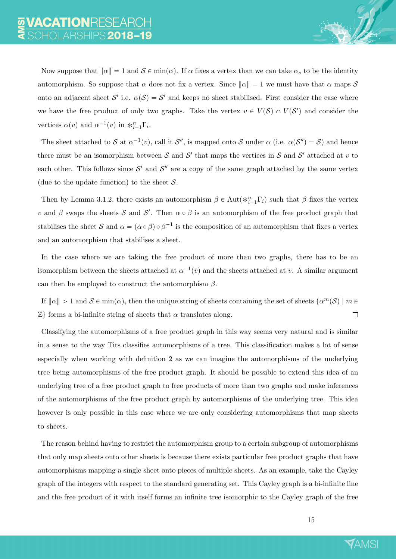Now suppose that  $\|\alpha\| = 1$  and  $S \in \min(\alpha)$ . If  $\alpha$  fixes a vertex than we can take  $\alpha_s$  to be the identity automorphism. So suppose that  $\alpha$  does not fix a vertex. Since  $\|\alpha\| = 1$  we must have that  $\alpha$  maps S onto an adjacent sheet  $\mathcal{S}'$  i.e.  $\alpha(\mathcal{S}) = \mathcal{S}'$  and keeps no sheet stabilised. First consider the case where we have the free product of only two graphs. Take the vertex  $v \in V(S) \cap V(S')$  and consider the vertices  $\alpha(v)$  and  $\alpha^{-1}(v)$  in  $\ast_{i=1}^n \Gamma_i$ .

The sheet attached to S at  $\alpha^{-1}(v)$ , call it S'', is mapped onto S under  $\alpha$  (i.e.  $\alpha(S'') = S$ ) and hence there must be an isomorphism between S and S' that maps the vertices in S and S' attached at v to each other. This follows since  $\mathcal{S}'$  and  $\mathcal{S}''$  are a copy of the same graph attached by the same vertex (due to the update function) to the sheet  $S$ .

Then by Lemma 3.1.2, there exists an automorphism  $\beta \in \text{Aut}(\ast_{i=1}^n \Gamma_i)$  such that  $\beta$  fixes the vertex v and  $\beta$  swaps the sheets S and S'. Then  $\alpha \circ \beta$  is an automorphism of the free product graph that stabilises the sheet S and  $\alpha = (\alpha \circ \beta) \circ \beta^{-1}$  is the composition of an automorphism that fixes a vertex and an automorphism that stabilises a sheet.

In the case where we are taking the free product of more than two graphs, there has to be an isomorphism between the sheets attached at  $\alpha^{-1}(v)$  and the sheets attached at v. A similar argument can then be employed to construct the automorphism  $\beta$ .

If  $\|\alpha\| > 1$  and  $S \in \min(\alpha)$ , then the unique string of sheets containing the set of sheets  $\{\alpha^m(S) \mid m \in \mathbb{R}\}$  $\mathbb{Z}$  forms a bi-infinite string of sheets that  $\alpha$  translates along.  $\Box$ 

Classifying the automorphisms of a free product graph in this way seems very natural and is similar in a sense to the way Tits classifies automorphisms of a tree. This classification makes a lot of sense especially when working with definition 2 as we can imagine the automorphisms of the underlying tree being automorphisms of the free product graph. It should be possible to extend this idea of an underlying tree of a free product graph to free products of more than two graphs and make inferences of the automorphisms of the free product graph by automorphisms of the underlying tree. This idea however is only possible in this case where we are only considering automorphisms that map sheets to sheets.

The reason behind having to restrict the automorphism group to a certain subgroup of automorphisms that only map sheets onto other sheets is because there exists particular free product graphs that have automorphisms mapping a single sheet onto pieces of multiple sheets. As an example, take the Cayley graph of the integers with respect to the standard generating set. This Cayley graph is a bi-infinite line and the free product of it with itself forms an infinite tree isomorphic to the Cayley graph of the free

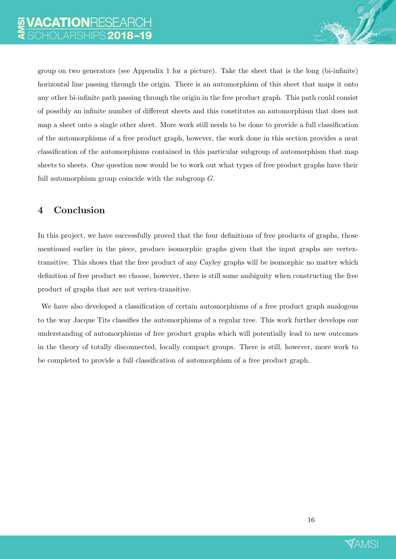group on two generators (see Appendix 1 for a picture). Take the sheet that is the long (bi-infinite) horizontal line passing through the origin. There is an automorphism of this sheet that maps it onto any other bi-infinite path passing through the origin in the free product graph. This path could consist of possibly an infinite number of different sheets and this constitutes an automorphism that does not map a sheet onto a single other sheet. More work still needs to be done to provide a full classification of the automorphisms of a free product graph, however, the work done in this section provides a neat classification of the automorphisms contained in this particular subgroup of automorphism that map sheets to sheets. One question now would be to work out what types of free product graphs have their full automorphism group coincide with the subgroup G.

# 4 Conclusion

In this project, we have successfully proved that the four definitions of free products of graphs, those mentioned earlier in the piece, produce isomorphic graphs given that the input graphs are vertextransitive. This shows that the free product of any Cayley graphs will be isomorphic no matter which definition of free product we choose, however, there is still some ambiguity when constructing the free product of graphs that are not vertex-transitive.

We have also developed a classification of certain automorphisms of a free product graph analogous to the way Jacque Tits classifies the automorphisms of a regular tree. This work further develops our understanding of automorphisms of free product graphs which will potentially lead to new outcomes in the theory of totally disconnected, locally compact groups. There is still, however, more work to be completed to provide a full classification of automorphism of a free product graph.

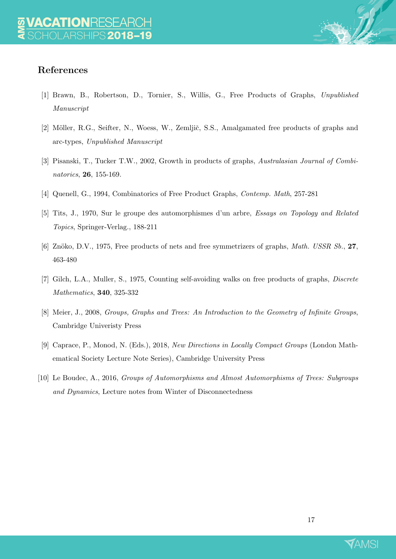# References

- [1] Brawn, B., Robertson, D., Tornier, S., Willis, G., Free Products of Graphs, Unpublished Manuscript
- [2] Möller, R.G., Seifter, N., Woess, W., Zemljič, S.S., Amalgamated free products of graphs and arc-types, Unpublished Manuscript
- [3] Pisanski, T., Tucker T.W., 2002, Growth in products of graphs, Australasian Journal of Combinatorics, 26, 155-169.
- [4] Quenell, G., 1994, Combinatorics of Free Product Graphs, Contemp. Math, 257-281
- [5] Tits, J., 1970, Sur le groupe des automorphismes d'un arbre, Essays on Topology and Related Topics, Springer-Verlag., 188-211
- [6] Znöko, D.V., 1975, Free products of nets and free symmetrizers of graphs, *Math. USSR Sb.*, 27, 463-480
- [7] Gilch, L.A., Muller, S., 1975, Counting self-avoiding walks on free products of graphs, Discrete Mathematics, 340, 325-332
- [8] Meier, J., 2008, Groups, Graphs and Trees: An Introduction to the Geometry of Infinite Groups, Cambridge Univeristy Press
- [9] Caprace, P., Monod, N. (Eds.), 2018, New Directions in Locally Compact Groups (London Mathematical Society Lecture Note Series), Cambridge University Press
- [10] Le Boudec, A., 2016, Groups of Automorphisms and Almost Automorphisms of Trees: Subgroups and Dynamics, Lecture notes from Winter of Disconnectedness

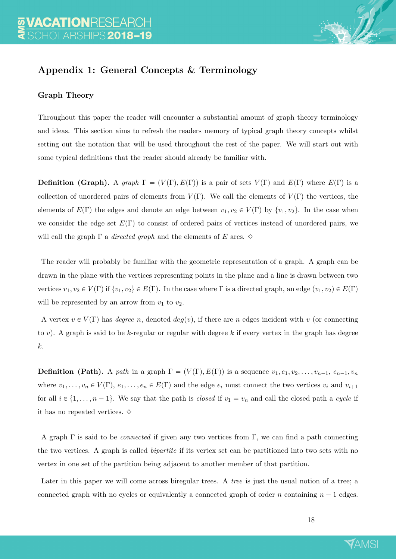

# Appendix 1: General Concepts & Terminology

## Graph Theory

Throughout this paper the reader will encounter a substantial amount of graph theory terminology and ideas. This section aims to refresh the readers memory of typical graph theory concepts whilst setting out the notation that will be used throughout the rest of the paper. We will start out with some typical definitions that the reader should already be familiar with.

**Definition (Graph).** A graph  $\Gamma = (V(\Gamma), E(\Gamma))$  is a pair of sets  $V(\Gamma)$  and  $E(\Gamma)$  where  $E(\Gamma)$  is a collection of unordered pairs of elements from  $V(\Gamma)$ . We call the elements of  $V(\Gamma)$  the vertices, the elements of  $E(\Gamma)$  the edges and denote an edge between  $v_1, v_2 \in V(\Gamma)$  by  $\{v_1, v_2\}$ . In the case when we consider the edge set  $E(\Gamma)$  to consist of ordered pairs of vertices instead of unordered pairs, we will call the graph  $\Gamma$  a *directed graph* and the elements of E arcs.  $\diamond$ 

The reader will probably be familiar with the geometric representation of a graph. A graph can be drawn in the plane with the vertices representing points in the plane and a line is drawn between two vertices  $v_1, v_2 \in V(\Gamma)$  if  $\{v_1, v_2\} \in E(\Gamma)$ . In the case where  $\Gamma$  is a directed graph, an edge  $(v_1, v_2) \in E(\Gamma)$ will be represented by an arrow from  $v_1$  to  $v_2$ .

A vertex  $v \in V(\Gamma)$  has *degree n*, denoted  $deg(v)$ , if there are n edges incident with v (or connecting to v). A graph is said to be k-regular or regular with degree k if every vertex in the graph has degree k.

**Definition (Path).** A path in a graph  $\Gamma = (V(\Gamma), E(\Gamma))$  is a sequence  $v_1, e_1, v_2, \ldots, v_{n-1}, e_{n-1}, v_n$ where  $v_1, \ldots, v_n \in V(\Gamma)$ ,  $e_1, \ldots, e_n \in E(\Gamma)$  and the edge  $e_i$  must connect the two vertices  $v_i$  and  $v_{i+1}$ for all  $i \in \{1, ..., n-1\}$ . We say that the path is *closed* if  $v_1 = v_n$  and call the closed path a *cycle* if it has no repeated vertices.  $\diamond$ 

A graph  $\Gamma$  is said to be *connected* if given any two vertices from  $\Gamma$ , we can find a path connecting the two vertices. A graph is called bipartite if its vertex set can be partitioned into two sets with no vertex in one set of the partition being adjacent to another member of that partition.

Later in this paper we will come across biregular trees. A *tree* is just the usual notion of a tree; a connected graph with no cycles or equivalently a connected graph of order n containing  $n - 1$  edges.

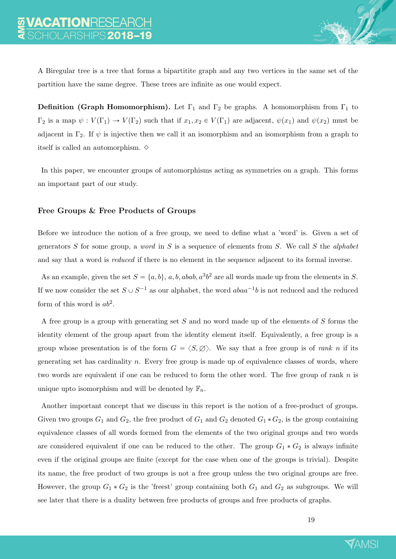A Biregular tree is a tree that forms a bipartitite graph and any two vertices in the same set of the partition have the same degree. These trees are infinite as one would expect.

**Definition (Graph Homomorphism).** Let  $\Gamma_1$  and  $\Gamma_2$  be graphs. A homomorphism from  $\Gamma_1$  to  $\Gamma_2$  is a map  $\psi: V(\Gamma_1) \to V(\Gamma_2)$  such that if  $x_1, x_2 \in V(\Gamma_1)$  are adjacent,  $\psi(x_1)$  and  $\psi(x_2)$  must be adjacent in  $\Gamma_2$ . If  $\psi$  is injective then we call it an isomorphism and an isomorphism from a graph to itself is called an automorphism.  $\diamond$ 

In this paper, we encounter groups of automorphisms acting as symmetries on a graph. This forms an important part of our study.

#### Free Groups & Free Products of Groups

Before we introduce the notion of a free group, we need to define what a 'word' is. Given a set of generators S for some group, a *word* in S is a sequence of elements from S. We call S the *alphabet* and say that a word is *reduced* if there is no element in the sequence adjacent to its formal inverse.

As an example, given the set  $S = \{a, b\}$ ,  $a, b, abab, a^3b^2$  are all words made up from the elements in S. If we now consider the set  $S \cup S^{-1}$  as our alphabet, the word  $abaa^{-1}b$  is not reduced and the reduced form of this word is  $ab^2$ .

A free group is a group with generating set S and no word made up of the elements of S forms the identity element of the group apart from the identity element itself. Equivalently, a free group is a group whose presentation is of the form  $G = \langle S, \emptyset \rangle$ . We say that a free group is of *rank n* if its generating set has cardinality  $n$ . Every free group is made up of equivalence classes of words, where two words are equivalent if one can be reduced to form the other word. The free group of rank  $n$  is unique upto isomorphism and will be denoted by  $\mathbb{F}_n$ .

Another important concept that we discuss in this report is the notion of a free-product of groups. Given two groups  $G_1$  and  $G_2$ , the free product of  $G_1$  and  $G_2$  denoted  $G_1 * G_2$ , is the group containing equivalence classes of all words formed from the elements of the two original groups and two words are considered equivalent if one can be reduced to the other. The group  $G_1 * G_2$  is always infinite even if the original groups are finite (except for the case when one of the groups is trivial). Despite its name, the free product of two groups is not a free group unless the two original groups are free. However, the group  $G_1 * G_2$  is the 'freest' group containing both  $G_1$  and  $G_2$  as subgroups. We will see later that there is a duality between free products of groups and free products of graphs.